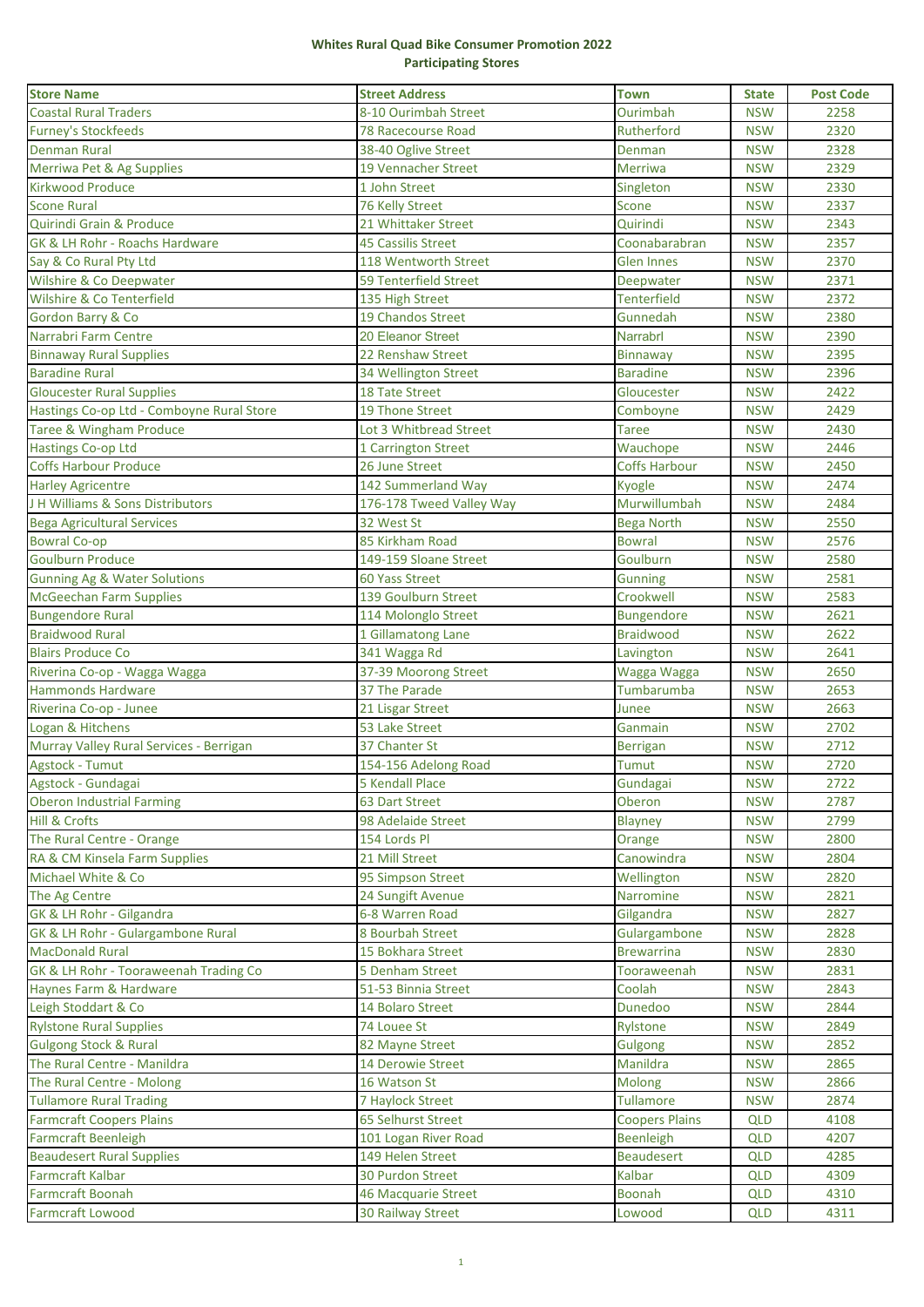## **Whites Rural Quad Bike Consumer Promotion 2022 Participating Stores**

| 8-10 Ourimbah Street<br>Ourimbah<br><b>NSW</b><br>2258<br><b>78 Racecourse Road</b><br>Rutherford<br><b>NSW</b><br>2320<br>2328<br>38-40 Oglive Street<br><b>NSW</b><br>Denman<br>2329<br><b>19 Vennacher Street</b><br>Merriwa<br><b>NSW</b><br>1 John Street<br>2330<br><b>NSW</b><br>Singleton<br>2337<br>76 Kelly Street<br><b>NSW</b><br>Scone<br>21 Whittaker Street<br>Quirindi<br><b>NSW</b><br>2343<br>2357<br><b>45 Cassilis Street</b><br>Coonabarabran<br><b>NSW</b><br>2370<br>Say & Co Rural Pty Ltd<br>118 Wentworth Street<br><b>Glen Innes</b><br><b>NSW</b><br>Wilshire & Co Deepwater<br><b>59 Tenterfield Street</b><br><b>NSW</b><br>2371<br>Deepwater<br>Wilshire & Co Tenterfield<br><b>Tenterfield</b><br>2372<br>135 High Street<br><b>NSW</b><br>19 Chandos Street<br>2380<br>Gordon Barry & Co<br>Gunnedah<br><b>NSW</b><br>Narrabri Farm Centre<br>20 Eleanor Street<br>Narrabrl<br><b>NSW</b><br>2390<br>22 Renshaw Street<br>2395<br><b>Binnaway Rural Supplies</b><br><b>NSW</b><br><b>Binnaway</b><br><b>Baradine Rural</b><br>2396<br>34 Wellington Street<br><b>Baradine</b><br><b>NSW</b><br><b>Gloucester Rural Supplies</b><br>2422<br><b>18 Tate Street</b><br>Gloucester<br><b>NSW</b><br>Hastings Co-op Ltd - Comboyne Rural Store<br>2429<br>19 Thone Street<br><b>NSW</b><br>Comboyne<br>Taree & Wingham Produce<br>Lot 3 Whitbread Street<br>2430<br><b>NSW</b><br>Taree<br>Hastings Co-op Ltd<br>2446<br>1 Carrington Street<br>Wauchope<br><b>NSW</b><br><b>Coffs Harbour Produce</b><br>26 June Street<br><b>Coffs Harbour</b><br>2450<br><b>NSW</b><br>2474<br>142 Summerland Way<br><b>NSW</b><br><b>Harley Agricentre</b><br>Kyogle<br>Murwillumbah<br>J H Williams & Sons Distributors<br>176-178 Tweed Valley Way<br>2484<br><b>NSW</b><br>32 West St<br>2550<br><b>Bega Agricultural Services</b><br><b>Bega North</b><br><b>NSW</b><br><b>Bowral Co-op</b><br>85 Kirkham Road<br>2576<br><b>Bowral</b><br><b>NSW</b><br><b>Goulburn Produce</b><br>Goulburn<br>2580<br>149-159 Sloane Street<br><b>NSW</b><br>2581<br><b>Gunning Ag &amp; Water Solutions</b><br>60 Yass Street<br><b>NSW</b><br><b>Gunning</b><br>139 Goulburn Street<br>Crookwell<br>2583<br><b>McGeechan Farm Supplies</b><br><b>NSW</b><br>2621<br><b>Bungendore Rural</b><br>114 Molonglo Street<br><b>Bungendore</b><br><b>NSW</b><br><b>Braidwood Rural</b><br><b>Braidwood</b><br>2622<br>1 Gillamatong Lane<br><b>NSW</b><br>341 Wagga Rd<br>2641<br><b>Blairs Produce Co</b><br><b>NSW</b><br>Lavington<br>37-39 Moorong Street<br>2650<br>Riverina Co-op - Wagga Wagga<br>Wagga Wagga<br><b>NSW</b><br>37 The Parade<br>Tumbarumba<br><b>Hammonds Hardware</b><br><b>NSW</b><br>2653<br>2663<br>Riverina Co-op - Junee<br>21 Lisgar Street<br><b>NSW</b><br>Junee<br>Logan & Hitchens<br>53 Lake Street<br><b>NSW</b><br>2702<br>Ganmain<br>37 Chanter St<br>Murray Valley Rural Services - Berrigan<br><b>NSW</b><br>2712<br><b>Berrigan</b><br>Agstock - Tumut<br>154-156 Adelong Road<br>2720<br>Tumut<br><b>NSW</b><br>5 Kendall Place<br><b>NSW</b><br>2722<br>Agstock - Gundagai<br>Gundagai<br><b>Oberon Industrial Farming</b><br><b>63 Dart Street</b><br>Oberon<br><b>NSW</b><br>2787<br><b>Hill &amp; Crofts</b><br>2799<br>98 Adelaide Street<br><b>NSW</b><br><b>Blayney</b><br>The Rural Centre - Orange<br>154 Lords Pl<br>2800<br><b>NSW</b><br>Orange<br>RA & CM Kinsela Farm Supplies<br>21 Mill Street<br>2804<br>Canowindra<br><b>NSW</b><br>95 Simpson Street<br>2820<br>Wellington<br><b>NSW</b><br>24 Sungift Avenue<br>Narromine<br><b>NSW</b><br>2821<br>6-8 Warren Road<br>Gilgandra<br><b>NSW</b><br>2827<br>8 Bourbah Street<br>Gulargambone<br>2828<br><b>NSW</b><br>15 Bokhara Street<br><b>Brewarrina</b><br><b>NSW</b><br>2830<br>5 Denham Street<br>Tooraweenah<br><b>NSW</b><br>2831<br>51-53 Binnia Street<br>Coolah<br><b>NSW</b><br>2843<br>14 Bolaro Street<br>Dunedoo<br><b>NSW</b><br>2844<br>74 Louee St<br>Rylstone<br><b>NSW</b><br>2849<br>82 Mayne Street<br>2852<br><b>Gulgong</b><br><b>NSW</b><br>14 Derowie Street<br>Manildra<br><b>NSW</b><br>2865<br>2866<br>16 Watson St<br><b>Molong</b><br><b>NSW</b><br><b>Tullamore</b><br>2874<br><b>7 Haylock Street</b><br><b>NSW</b><br>65 Selhurst Street<br><b>Coopers Plains</b><br>4108<br><b>QLD</b><br>4207<br>101 Logan River Road<br><b>Beenleigh</b><br><b>QLD</b><br>149 Helen Street<br>4285<br><b>Beaudesert</b><br><b>QLD</b><br>30 Purdon Street<br>Kalbar<br><b>QLD</b><br>4309<br><b>Farmcraft Boonah</b><br>46 Macquarie Street<br><b>Boonah</b><br>4310<br>QLD<br>30 Railway Street<br>4311<br>Lowood<br>QLD | <b>Store Name</b>                     | <b>Street Address</b> | <b>Town</b> | <b>State</b> | <b>Post Code</b> |
|-------------------------------------------------------------------------------------------------------------------------------------------------------------------------------------------------------------------------------------------------------------------------------------------------------------------------------------------------------------------------------------------------------------------------------------------------------------------------------------------------------------------------------------------------------------------------------------------------------------------------------------------------------------------------------------------------------------------------------------------------------------------------------------------------------------------------------------------------------------------------------------------------------------------------------------------------------------------------------------------------------------------------------------------------------------------------------------------------------------------------------------------------------------------------------------------------------------------------------------------------------------------------------------------------------------------------------------------------------------------------------------------------------------------------------------------------------------------------------------------------------------------------------------------------------------------------------------------------------------------------------------------------------------------------------------------------------------------------------------------------------------------------------------------------------------------------------------------------------------------------------------------------------------------------------------------------------------------------------------------------------------------------------------------------------------------------------------------------------------------------------------------------------------------------------------------------------------------------------------------------------------------------------------------------------------------------------------------------------------------------------------------------------------------------------------------------------------------------------------------------------------------------------------------------------------------------------------------------------------------------------------------------------------------------------------------------------------------------------------------------------------------------------------------------------------------------------------------------------------------------------------------------------------------------------------------------------------------------------------------------------------------------------------------------------------------------------------------------------------------------------------------------------------------------------------------------------------------------------------------------------------------------------------------------------------------------------------------------------------------------------------------------------------------------------------------------------------------------------------------------------------------------------------------------------------------------------------------------------------------------------------------------------------------------------------------------------------------------------------------------------------------------------------------------------------------------------------------------------------------------------------------------------------------------------------------------------------------------------------------------------------------------------------------------------------------------------------------------------------------------------------------------------------------------------------------------------------------------------------------------------------------------------------------------------------------------------------------------------------------------------------------------------------------------------------------------------------------------------------------------------------------------------------------------------------------------------------------------------------------------------------------------------------|---------------------------------------|-----------------------|-------------|--------------|------------------|
|                                                                                                                                                                                                                                                                                                                                                                                                                                                                                                                                                                                                                                                                                                                                                                                                                                                                                                                                                                                                                                                                                                                                                                                                                                                                                                                                                                                                                                                                                                                                                                                                                                                                                                                                                                                                                                                                                                                                                                                                                                                                                                                                                                                                                                                                                                                                                                                                                                                                                                                                                                                                                                                                                                                                                                                                                                                                                                                                                                                                                                                                                                                                                                                                                                                                                                                                                                                                                                                                                                                                                                                                                                                                                                                                                                                                                                                                                                                                                                                                                                                                                                                                                                                                                                                                                                                                                                                                                                                                                                                                                                                                                                                             | <b>Coastal Rural Traders</b>          |                       |             |              |                  |
|                                                                                                                                                                                                                                                                                                                                                                                                                                                                                                                                                                                                                                                                                                                                                                                                                                                                                                                                                                                                                                                                                                                                                                                                                                                                                                                                                                                                                                                                                                                                                                                                                                                                                                                                                                                                                                                                                                                                                                                                                                                                                                                                                                                                                                                                                                                                                                                                                                                                                                                                                                                                                                                                                                                                                                                                                                                                                                                                                                                                                                                                                                                                                                                                                                                                                                                                                                                                                                                                                                                                                                                                                                                                                                                                                                                                                                                                                                                                                                                                                                                                                                                                                                                                                                                                                                                                                                                                                                                                                                                                                                                                                                                             | <b>Furney's Stockfeeds</b>            |                       |             |              |                  |
|                                                                                                                                                                                                                                                                                                                                                                                                                                                                                                                                                                                                                                                                                                                                                                                                                                                                                                                                                                                                                                                                                                                                                                                                                                                                                                                                                                                                                                                                                                                                                                                                                                                                                                                                                                                                                                                                                                                                                                                                                                                                                                                                                                                                                                                                                                                                                                                                                                                                                                                                                                                                                                                                                                                                                                                                                                                                                                                                                                                                                                                                                                                                                                                                                                                                                                                                                                                                                                                                                                                                                                                                                                                                                                                                                                                                                                                                                                                                                                                                                                                                                                                                                                                                                                                                                                                                                                                                                                                                                                                                                                                                                                                             | <b>Denman Rural</b>                   |                       |             |              |                  |
|                                                                                                                                                                                                                                                                                                                                                                                                                                                                                                                                                                                                                                                                                                                                                                                                                                                                                                                                                                                                                                                                                                                                                                                                                                                                                                                                                                                                                                                                                                                                                                                                                                                                                                                                                                                                                                                                                                                                                                                                                                                                                                                                                                                                                                                                                                                                                                                                                                                                                                                                                                                                                                                                                                                                                                                                                                                                                                                                                                                                                                                                                                                                                                                                                                                                                                                                                                                                                                                                                                                                                                                                                                                                                                                                                                                                                                                                                                                                                                                                                                                                                                                                                                                                                                                                                                                                                                                                                                                                                                                                                                                                                                                             | Merriwa Pet & Ag Supplies             |                       |             |              |                  |
|                                                                                                                                                                                                                                                                                                                                                                                                                                                                                                                                                                                                                                                                                                                                                                                                                                                                                                                                                                                                                                                                                                                                                                                                                                                                                                                                                                                                                                                                                                                                                                                                                                                                                                                                                                                                                                                                                                                                                                                                                                                                                                                                                                                                                                                                                                                                                                                                                                                                                                                                                                                                                                                                                                                                                                                                                                                                                                                                                                                                                                                                                                                                                                                                                                                                                                                                                                                                                                                                                                                                                                                                                                                                                                                                                                                                                                                                                                                                                                                                                                                                                                                                                                                                                                                                                                                                                                                                                                                                                                                                                                                                                                                             | <b>Kirkwood Produce</b>               |                       |             |              |                  |
|                                                                                                                                                                                                                                                                                                                                                                                                                                                                                                                                                                                                                                                                                                                                                                                                                                                                                                                                                                                                                                                                                                                                                                                                                                                                                                                                                                                                                                                                                                                                                                                                                                                                                                                                                                                                                                                                                                                                                                                                                                                                                                                                                                                                                                                                                                                                                                                                                                                                                                                                                                                                                                                                                                                                                                                                                                                                                                                                                                                                                                                                                                                                                                                                                                                                                                                                                                                                                                                                                                                                                                                                                                                                                                                                                                                                                                                                                                                                                                                                                                                                                                                                                                                                                                                                                                                                                                                                                                                                                                                                                                                                                                                             | <b>Scone Rural</b>                    |                       |             |              |                  |
|                                                                                                                                                                                                                                                                                                                                                                                                                                                                                                                                                                                                                                                                                                                                                                                                                                                                                                                                                                                                                                                                                                                                                                                                                                                                                                                                                                                                                                                                                                                                                                                                                                                                                                                                                                                                                                                                                                                                                                                                                                                                                                                                                                                                                                                                                                                                                                                                                                                                                                                                                                                                                                                                                                                                                                                                                                                                                                                                                                                                                                                                                                                                                                                                                                                                                                                                                                                                                                                                                                                                                                                                                                                                                                                                                                                                                                                                                                                                                                                                                                                                                                                                                                                                                                                                                                                                                                                                                                                                                                                                                                                                                                                             | Quirindi Grain & Produce              |                       |             |              |                  |
|                                                                                                                                                                                                                                                                                                                                                                                                                                                                                                                                                                                                                                                                                                                                                                                                                                                                                                                                                                                                                                                                                                                                                                                                                                                                                                                                                                                                                                                                                                                                                                                                                                                                                                                                                                                                                                                                                                                                                                                                                                                                                                                                                                                                                                                                                                                                                                                                                                                                                                                                                                                                                                                                                                                                                                                                                                                                                                                                                                                                                                                                                                                                                                                                                                                                                                                                                                                                                                                                                                                                                                                                                                                                                                                                                                                                                                                                                                                                                                                                                                                                                                                                                                                                                                                                                                                                                                                                                                                                                                                                                                                                                                                             | GK & LH Rohr - Roachs Hardware        |                       |             |              |                  |
|                                                                                                                                                                                                                                                                                                                                                                                                                                                                                                                                                                                                                                                                                                                                                                                                                                                                                                                                                                                                                                                                                                                                                                                                                                                                                                                                                                                                                                                                                                                                                                                                                                                                                                                                                                                                                                                                                                                                                                                                                                                                                                                                                                                                                                                                                                                                                                                                                                                                                                                                                                                                                                                                                                                                                                                                                                                                                                                                                                                                                                                                                                                                                                                                                                                                                                                                                                                                                                                                                                                                                                                                                                                                                                                                                                                                                                                                                                                                                                                                                                                                                                                                                                                                                                                                                                                                                                                                                                                                                                                                                                                                                                                             |                                       |                       |             |              |                  |
|                                                                                                                                                                                                                                                                                                                                                                                                                                                                                                                                                                                                                                                                                                                                                                                                                                                                                                                                                                                                                                                                                                                                                                                                                                                                                                                                                                                                                                                                                                                                                                                                                                                                                                                                                                                                                                                                                                                                                                                                                                                                                                                                                                                                                                                                                                                                                                                                                                                                                                                                                                                                                                                                                                                                                                                                                                                                                                                                                                                                                                                                                                                                                                                                                                                                                                                                                                                                                                                                                                                                                                                                                                                                                                                                                                                                                                                                                                                                                                                                                                                                                                                                                                                                                                                                                                                                                                                                                                                                                                                                                                                                                                                             |                                       |                       |             |              |                  |
|                                                                                                                                                                                                                                                                                                                                                                                                                                                                                                                                                                                                                                                                                                                                                                                                                                                                                                                                                                                                                                                                                                                                                                                                                                                                                                                                                                                                                                                                                                                                                                                                                                                                                                                                                                                                                                                                                                                                                                                                                                                                                                                                                                                                                                                                                                                                                                                                                                                                                                                                                                                                                                                                                                                                                                                                                                                                                                                                                                                                                                                                                                                                                                                                                                                                                                                                                                                                                                                                                                                                                                                                                                                                                                                                                                                                                                                                                                                                                                                                                                                                                                                                                                                                                                                                                                                                                                                                                                                                                                                                                                                                                                                             |                                       |                       |             |              |                  |
|                                                                                                                                                                                                                                                                                                                                                                                                                                                                                                                                                                                                                                                                                                                                                                                                                                                                                                                                                                                                                                                                                                                                                                                                                                                                                                                                                                                                                                                                                                                                                                                                                                                                                                                                                                                                                                                                                                                                                                                                                                                                                                                                                                                                                                                                                                                                                                                                                                                                                                                                                                                                                                                                                                                                                                                                                                                                                                                                                                                                                                                                                                                                                                                                                                                                                                                                                                                                                                                                                                                                                                                                                                                                                                                                                                                                                                                                                                                                                                                                                                                                                                                                                                                                                                                                                                                                                                                                                                                                                                                                                                                                                                                             |                                       |                       |             |              |                  |
|                                                                                                                                                                                                                                                                                                                                                                                                                                                                                                                                                                                                                                                                                                                                                                                                                                                                                                                                                                                                                                                                                                                                                                                                                                                                                                                                                                                                                                                                                                                                                                                                                                                                                                                                                                                                                                                                                                                                                                                                                                                                                                                                                                                                                                                                                                                                                                                                                                                                                                                                                                                                                                                                                                                                                                                                                                                                                                                                                                                                                                                                                                                                                                                                                                                                                                                                                                                                                                                                                                                                                                                                                                                                                                                                                                                                                                                                                                                                                                                                                                                                                                                                                                                                                                                                                                                                                                                                                                                                                                                                                                                                                                                             |                                       |                       |             |              |                  |
|                                                                                                                                                                                                                                                                                                                                                                                                                                                                                                                                                                                                                                                                                                                                                                                                                                                                                                                                                                                                                                                                                                                                                                                                                                                                                                                                                                                                                                                                                                                                                                                                                                                                                                                                                                                                                                                                                                                                                                                                                                                                                                                                                                                                                                                                                                                                                                                                                                                                                                                                                                                                                                                                                                                                                                                                                                                                                                                                                                                                                                                                                                                                                                                                                                                                                                                                                                                                                                                                                                                                                                                                                                                                                                                                                                                                                                                                                                                                                                                                                                                                                                                                                                                                                                                                                                                                                                                                                                                                                                                                                                                                                                                             |                                       |                       |             |              |                  |
|                                                                                                                                                                                                                                                                                                                                                                                                                                                                                                                                                                                                                                                                                                                                                                                                                                                                                                                                                                                                                                                                                                                                                                                                                                                                                                                                                                                                                                                                                                                                                                                                                                                                                                                                                                                                                                                                                                                                                                                                                                                                                                                                                                                                                                                                                                                                                                                                                                                                                                                                                                                                                                                                                                                                                                                                                                                                                                                                                                                                                                                                                                                                                                                                                                                                                                                                                                                                                                                                                                                                                                                                                                                                                                                                                                                                                                                                                                                                                                                                                                                                                                                                                                                                                                                                                                                                                                                                                                                                                                                                                                                                                                                             |                                       |                       |             |              |                  |
|                                                                                                                                                                                                                                                                                                                                                                                                                                                                                                                                                                                                                                                                                                                                                                                                                                                                                                                                                                                                                                                                                                                                                                                                                                                                                                                                                                                                                                                                                                                                                                                                                                                                                                                                                                                                                                                                                                                                                                                                                                                                                                                                                                                                                                                                                                                                                                                                                                                                                                                                                                                                                                                                                                                                                                                                                                                                                                                                                                                                                                                                                                                                                                                                                                                                                                                                                                                                                                                                                                                                                                                                                                                                                                                                                                                                                                                                                                                                                                                                                                                                                                                                                                                                                                                                                                                                                                                                                                                                                                                                                                                                                                                             |                                       |                       |             |              |                  |
|                                                                                                                                                                                                                                                                                                                                                                                                                                                                                                                                                                                                                                                                                                                                                                                                                                                                                                                                                                                                                                                                                                                                                                                                                                                                                                                                                                                                                                                                                                                                                                                                                                                                                                                                                                                                                                                                                                                                                                                                                                                                                                                                                                                                                                                                                                                                                                                                                                                                                                                                                                                                                                                                                                                                                                                                                                                                                                                                                                                                                                                                                                                                                                                                                                                                                                                                                                                                                                                                                                                                                                                                                                                                                                                                                                                                                                                                                                                                                                                                                                                                                                                                                                                                                                                                                                                                                                                                                                                                                                                                                                                                                                                             |                                       |                       |             |              |                  |
|                                                                                                                                                                                                                                                                                                                                                                                                                                                                                                                                                                                                                                                                                                                                                                                                                                                                                                                                                                                                                                                                                                                                                                                                                                                                                                                                                                                                                                                                                                                                                                                                                                                                                                                                                                                                                                                                                                                                                                                                                                                                                                                                                                                                                                                                                                                                                                                                                                                                                                                                                                                                                                                                                                                                                                                                                                                                                                                                                                                                                                                                                                                                                                                                                                                                                                                                                                                                                                                                                                                                                                                                                                                                                                                                                                                                                                                                                                                                                                                                                                                                                                                                                                                                                                                                                                                                                                                                                                                                                                                                                                                                                                                             |                                       |                       |             |              |                  |
|                                                                                                                                                                                                                                                                                                                                                                                                                                                                                                                                                                                                                                                                                                                                                                                                                                                                                                                                                                                                                                                                                                                                                                                                                                                                                                                                                                                                                                                                                                                                                                                                                                                                                                                                                                                                                                                                                                                                                                                                                                                                                                                                                                                                                                                                                                                                                                                                                                                                                                                                                                                                                                                                                                                                                                                                                                                                                                                                                                                                                                                                                                                                                                                                                                                                                                                                                                                                                                                                                                                                                                                                                                                                                                                                                                                                                                                                                                                                                                                                                                                                                                                                                                                                                                                                                                                                                                                                                                                                                                                                                                                                                                                             |                                       |                       |             |              |                  |
|                                                                                                                                                                                                                                                                                                                                                                                                                                                                                                                                                                                                                                                                                                                                                                                                                                                                                                                                                                                                                                                                                                                                                                                                                                                                                                                                                                                                                                                                                                                                                                                                                                                                                                                                                                                                                                                                                                                                                                                                                                                                                                                                                                                                                                                                                                                                                                                                                                                                                                                                                                                                                                                                                                                                                                                                                                                                                                                                                                                                                                                                                                                                                                                                                                                                                                                                                                                                                                                                                                                                                                                                                                                                                                                                                                                                                                                                                                                                                                                                                                                                                                                                                                                                                                                                                                                                                                                                                                                                                                                                                                                                                                                             |                                       |                       |             |              |                  |
|                                                                                                                                                                                                                                                                                                                                                                                                                                                                                                                                                                                                                                                                                                                                                                                                                                                                                                                                                                                                                                                                                                                                                                                                                                                                                                                                                                                                                                                                                                                                                                                                                                                                                                                                                                                                                                                                                                                                                                                                                                                                                                                                                                                                                                                                                                                                                                                                                                                                                                                                                                                                                                                                                                                                                                                                                                                                                                                                                                                                                                                                                                                                                                                                                                                                                                                                                                                                                                                                                                                                                                                                                                                                                                                                                                                                                                                                                                                                                                                                                                                                                                                                                                                                                                                                                                                                                                                                                                                                                                                                                                                                                                                             |                                       |                       |             |              |                  |
|                                                                                                                                                                                                                                                                                                                                                                                                                                                                                                                                                                                                                                                                                                                                                                                                                                                                                                                                                                                                                                                                                                                                                                                                                                                                                                                                                                                                                                                                                                                                                                                                                                                                                                                                                                                                                                                                                                                                                                                                                                                                                                                                                                                                                                                                                                                                                                                                                                                                                                                                                                                                                                                                                                                                                                                                                                                                                                                                                                                                                                                                                                                                                                                                                                                                                                                                                                                                                                                                                                                                                                                                                                                                                                                                                                                                                                                                                                                                                                                                                                                                                                                                                                                                                                                                                                                                                                                                                                                                                                                                                                                                                                                             |                                       |                       |             |              |                  |
|                                                                                                                                                                                                                                                                                                                                                                                                                                                                                                                                                                                                                                                                                                                                                                                                                                                                                                                                                                                                                                                                                                                                                                                                                                                                                                                                                                                                                                                                                                                                                                                                                                                                                                                                                                                                                                                                                                                                                                                                                                                                                                                                                                                                                                                                                                                                                                                                                                                                                                                                                                                                                                                                                                                                                                                                                                                                                                                                                                                                                                                                                                                                                                                                                                                                                                                                                                                                                                                                                                                                                                                                                                                                                                                                                                                                                                                                                                                                                                                                                                                                                                                                                                                                                                                                                                                                                                                                                                                                                                                                                                                                                                                             |                                       |                       |             |              |                  |
|                                                                                                                                                                                                                                                                                                                                                                                                                                                                                                                                                                                                                                                                                                                                                                                                                                                                                                                                                                                                                                                                                                                                                                                                                                                                                                                                                                                                                                                                                                                                                                                                                                                                                                                                                                                                                                                                                                                                                                                                                                                                                                                                                                                                                                                                                                                                                                                                                                                                                                                                                                                                                                                                                                                                                                                                                                                                                                                                                                                                                                                                                                                                                                                                                                                                                                                                                                                                                                                                                                                                                                                                                                                                                                                                                                                                                                                                                                                                                                                                                                                                                                                                                                                                                                                                                                                                                                                                                                                                                                                                                                                                                                                             |                                       |                       |             |              |                  |
|                                                                                                                                                                                                                                                                                                                                                                                                                                                                                                                                                                                                                                                                                                                                                                                                                                                                                                                                                                                                                                                                                                                                                                                                                                                                                                                                                                                                                                                                                                                                                                                                                                                                                                                                                                                                                                                                                                                                                                                                                                                                                                                                                                                                                                                                                                                                                                                                                                                                                                                                                                                                                                                                                                                                                                                                                                                                                                                                                                                                                                                                                                                                                                                                                                                                                                                                                                                                                                                                                                                                                                                                                                                                                                                                                                                                                                                                                                                                                                                                                                                                                                                                                                                                                                                                                                                                                                                                                                                                                                                                                                                                                                                             |                                       |                       |             |              |                  |
|                                                                                                                                                                                                                                                                                                                                                                                                                                                                                                                                                                                                                                                                                                                                                                                                                                                                                                                                                                                                                                                                                                                                                                                                                                                                                                                                                                                                                                                                                                                                                                                                                                                                                                                                                                                                                                                                                                                                                                                                                                                                                                                                                                                                                                                                                                                                                                                                                                                                                                                                                                                                                                                                                                                                                                                                                                                                                                                                                                                                                                                                                                                                                                                                                                                                                                                                                                                                                                                                                                                                                                                                                                                                                                                                                                                                                                                                                                                                                                                                                                                                                                                                                                                                                                                                                                                                                                                                                                                                                                                                                                                                                                                             |                                       |                       |             |              |                  |
|                                                                                                                                                                                                                                                                                                                                                                                                                                                                                                                                                                                                                                                                                                                                                                                                                                                                                                                                                                                                                                                                                                                                                                                                                                                                                                                                                                                                                                                                                                                                                                                                                                                                                                                                                                                                                                                                                                                                                                                                                                                                                                                                                                                                                                                                                                                                                                                                                                                                                                                                                                                                                                                                                                                                                                                                                                                                                                                                                                                                                                                                                                                                                                                                                                                                                                                                                                                                                                                                                                                                                                                                                                                                                                                                                                                                                                                                                                                                                                                                                                                                                                                                                                                                                                                                                                                                                                                                                                                                                                                                                                                                                                                             |                                       |                       |             |              |                  |
|                                                                                                                                                                                                                                                                                                                                                                                                                                                                                                                                                                                                                                                                                                                                                                                                                                                                                                                                                                                                                                                                                                                                                                                                                                                                                                                                                                                                                                                                                                                                                                                                                                                                                                                                                                                                                                                                                                                                                                                                                                                                                                                                                                                                                                                                                                                                                                                                                                                                                                                                                                                                                                                                                                                                                                                                                                                                                                                                                                                                                                                                                                                                                                                                                                                                                                                                                                                                                                                                                                                                                                                                                                                                                                                                                                                                                                                                                                                                                                                                                                                                                                                                                                                                                                                                                                                                                                                                                                                                                                                                                                                                                                                             |                                       |                       |             |              |                  |
|                                                                                                                                                                                                                                                                                                                                                                                                                                                                                                                                                                                                                                                                                                                                                                                                                                                                                                                                                                                                                                                                                                                                                                                                                                                                                                                                                                                                                                                                                                                                                                                                                                                                                                                                                                                                                                                                                                                                                                                                                                                                                                                                                                                                                                                                                                                                                                                                                                                                                                                                                                                                                                                                                                                                                                                                                                                                                                                                                                                                                                                                                                                                                                                                                                                                                                                                                                                                                                                                                                                                                                                                                                                                                                                                                                                                                                                                                                                                                                                                                                                                                                                                                                                                                                                                                                                                                                                                                                                                                                                                                                                                                                                             |                                       |                       |             |              |                  |
|                                                                                                                                                                                                                                                                                                                                                                                                                                                                                                                                                                                                                                                                                                                                                                                                                                                                                                                                                                                                                                                                                                                                                                                                                                                                                                                                                                                                                                                                                                                                                                                                                                                                                                                                                                                                                                                                                                                                                                                                                                                                                                                                                                                                                                                                                                                                                                                                                                                                                                                                                                                                                                                                                                                                                                                                                                                                                                                                                                                                                                                                                                                                                                                                                                                                                                                                                                                                                                                                                                                                                                                                                                                                                                                                                                                                                                                                                                                                                                                                                                                                                                                                                                                                                                                                                                                                                                                                                                                                                                                                                                                                                                                             |                                       |                       |             |              |                  |
|                                                                                                                                                                                                                                                                                                                                                                                                                                                                                                                                                                                                                                                                                                                                                                                                                                                                                                                                                                                                                                                                                                                                                                                                                                                                                                                                                                                                                                                                                                                                                                                                                                                                                                                                                                                                                                                                                                                                                                                                                                                                                                                                                                                                                                                                                                                                                                                                                                                                                                                                                                                                                                                                                                                                                                                                                                                                                                                                                                                                                                                                                                                                                                                                                                                                                                                                                                                                                                                                                                                                                                                                                                                                                                                                                                                                                                                                                                                                                                                                                                                                                                                                                                                                                                                                                                                                                                                                                                                                                                                                                                                                                                                             |                                       |                       |             |              |                  |
|                                                                                                                                                                                                                                                                                                                                                                                                                                                                                                                                                                                                                                                                                                                                                                                                                                                                                                                                                                                                                                                                                                                                                                                                                                                                                                                                                                                                                                                                                                                                                                                                                                                                                                                                                                                                                                                                                                                                                                                                                                                                                                                                                                                                                                                                                                                                                                                                                                                                                                                                                                                                                                                                                                                                                                                                                                                                                                                                                                                                                                                                                                                                                                                                                                                                                                                                                                                                                                                                                                                                                                                                                                                                                                                                                                                                                                                                                                                                                                                                                                                                                                                                                                                                                                                                                                                                                                                                                                                                                                                                                                                                                                                             |                                       |                       |             |              |                  |
|                                                                                                                                                                                                                                                                                                                                                                                                                                                                                                                                                                                                                                                                                                                                                                                                                                                                                                                                                                                                                                                                                                                                                                                                                                                                                                                                                                                                                                                                                                                                                                                                                                                                                                                                                                                                                                                                                                                                                                                                                                                                                                                                                                                                                                                                                                                                                                                                                                                                                                                                                                                                                                                                                                                                                                                                                                                                                                                                                                                                                                                                                                                                                                                                                                                                                                                                                                                                                                                                                                                                                                                                                                                                                                                                                                                                                                                                                                                                                                                                                                                                                                                                                                                                                                                                                                                                                                                                                                                                                                                                                                                                                                                             |                                       |                       |             |              |                  |
|                                                                                                                                                                                                                                                                                                                                                                                                                                                                                                                                                                                                                                                                                                                                                                                                                                                                                                                                                                                                                                                                                                                                                                                                                                                                                                                                                                                                                                                                                                                                                                                                                                                                                                                                                                                                                                                                                                                                                                                                                                                                                                                                                                                                                                                                                                                                                                                                                                                                                                                                                                                                                                                                                                                                                                                                                                                                                                                                                                                                                                                                                                                                                                                                                                                                                                                                                                                                                                                                                                                                                                                                                                                                                                                                                                                                                                                                                                                                                                                                                                                                                                                                                                                                                                                                                                                                                                                                                                                                                                                                                                                                                                                             |                                       |                       |             |              |                  |
|                                                                                                                                                                                                                                                                                                                                                                                                                                                                                                                                                                                                                                                                                                                                                                                                                                                                                                                                                                                                                                                                                                                                                                                                                                                                                                                                                                                                                                                                                                                                                                                                                                                                                                                                                                                                                                                                                                                                                                                                                                                                                                                                                                                                                                                                                                                                                                                                                                                                                                                                                                                                                                                                                                                                                                                                                                                                                                                                                                                                                                                                                                                                                                                                                                                                                                                                                                                                                                                                                                                                                                                                                                                                                                                                                                                                                                                                                                                                                                                                                                                                                                                                                                                                                                                                                                                                                                                                                                                                                                                                                                                                                                                             |                                       |                       |             |              |                  |
|                                                                                                                                                                                                                                                                                                                                                                                                                                                                                                                                                                                                                                                                                                                                                                                                                                                                                                                                                                                                                                                                                                                                                                                                                                                                                                                                                                                                                                                                                                                                                                                                                                                                                                                                                                                                                                                                                                                                                                                                                                                                                                                                                                                                                                                                                                                                                                                                                                                                                                                                                                                                                                                                                                                                                                                                                                                                                                                                                                                                                                                                                                                                                                                                                                                                                                                                                                                                                                                                                                                                                                                                                                                                                                                                                                                                                                                                                                                                                                                                                                                                                                                                                                                                                                                                                                                                                                                                                                                                                                                                                                                                                                                             |                                       |                       |             |              |                  |
|                                                                                                                                                                                                                                                                                                                                                                                                                                                                                                                                                                                                                                                                                                                                                                                                                                                                                                                                                                                                                                                                                                                                                                                                                                                                                                                                                                                                                                                                                                                                                                                                                                                                                                                                                                                                                                                                                                                                                                                                                                                                                                                                                                                                                                                                                                                                                                                                                                                                                                                                                                                                                                                                                                                                                                                                                                                                                                                                                                                                                                                                                                                                                                                                                                                                                                                                                                                                                                                                                                                                                                                                                                                                                                                                                                                                                                                                                                                                                                                                                                                                                                                                                                                                                                                                                                                                                                                                                                                                                                                                                                                                                                                             |                                       |                       |             |              |                  |
|                                                                                                                                                                                                                                                                                                                                                                                                                                                                                                                                                                                                                                                                                                                                                                                                                                                                                                                                                                                                                                                                                                                                                                                                                                                                                                                                                                                                                                                                                                                                                                                                                                                                                                                                                                                                                                                                                                                                                                                                                                                                                                                                                                                                                                                                                                                                                                                                                                                                                                                                                                                                                                                                                                                                                                                                                                                                                                                                                                                                                                                                                                                                                                                                                                                                                                                                                                                                                                                                                                                                                                                                                                                                                                                                                                                                                                                                                                                                                                                                                                                                                                                                                                                                                                                                                                                                                                                                                                                                                                                                                                                                                                                             |                                       |                       |             |              |                  |
|                                                                                                                                                                                                                                                                                                                                                                                                                                                                                                                                                                                                                                                                                                                                                                                                                                                                                                                                                                                                                                                                                                                                                                                                                                                                                                                                                                                                                                                                                                                                                                                                                                                                                                                                                                                                                                                                                                                                                                                                                                                                                                                                                                                                                                                                                                                                                                                                                                                                                                                                                                                                                                                                                                                                                                                                                                                                                                                                                                                                                                                                                                                                                                                                                                                                                                                                                                                                                                                                                                                                                                                                                                                                                                                                                                                                                                                                                                                                                                                                                                                                                                                                                                                                                                                                                                                                                                                                                                                                                                                                                                                                                                                             |                                       |                       |             |              |                  |
|                                                                                                                                                                                                                                                                                                                                                                                                                                                                                                                                                                                                                                                                                                                                                                                                                                                                                                                                                                                                                                                                                                                                                                                                                                                                                                                                                                                                                                                                                                                                                                                                                                                                                                                                                                                                                                                                                                                                                                                                                                                                                                                                                                                                                                                                                                                                                                                                                                                                                                                                                                                                                                                                                                                                                                                                                                                                                                                                                                                                                                                                                                                                                                                                                                                                                                                                                                                                                                                                                                                                                                                                                                                                                                                                                                                                                                                                                                                                                                                                                                                                                                                                                                                                                                                                                                                                                                                                                                                                                                                                                                                                                                                             |                                       |                       |             |              |                  |
|                                                                                                                                                                                                                                                                                                                                                                                                                                                                                                                                                                                                                                                                                                                                                                                                                                                                                                                                                                                                                                                                                                                                                                                                                                                                                                                                                                                                                                                                                                                                                                                                                                                                                                                                                                                                                                                                                                                                                                                                                                                                                                                                                                                                                                                                                                                                                                                                                                                                                                                                                                                                                                                                                                                                                                                                                                                                                                                                                                                                                                                                                                                                                                                                                                                                                                                                                                                                                                                                                                                                                                                                                                                                                                                                                                                                                                                                                                                                                                                                                                                                                                                                                                                                                                                                                                                                                                                                                                                                                                                                                                                                                                                             |                                       |                       |             |              |                  |
|                                                                                                                                                                                                                                                                                                                                                                                                                                                                                                                                                                                                                                                                                                                                                                                                                                                                                                                                                                                                                                                                                                                                                                                                                                                                                                                                                                                                                                                                                                                                                                                                                                                                                                                                                                                                                                                                                                                                                                                                                                                                                                                                                                                                                                                                                                                                                                                                                                                                                                                                                                                                                                                                                                                                                                                                                                                                                                                                                                                                                                                                                                                                                                                                                                                                                                                                                                                                                                                                                                                                                                                                                                                                                                                                                                                                                                                                                                                                                                                                                                                                                                                                                                                                                                                                                                                                                                                                                                                                                                                                                                                                                                                             |                                       |                       |             |              |                  |
|                                                                                                                                                                                                                                                                                                                                                                                                                                                                                                                                                                                                                                                                                                                                                                                                                                                                                                                                                                                                                                                                                                                                                                                                                                                                                                                                                                                                                                                                                                                                                                                                                                                                                                                                                                                                                                                                                                                                                                                                                                                                                                                                                                                                                                                                                                                                                                                                                                                                                                                                                                                                                                                                                                                                                                                                                                                                                                                                                                                                                                                                                                                                                                                                                                                                                                                                                                                                                                                                                                                                                                                                                                                                                                                                                                                                                                                                                                                                                                                                                                                                                                                                                                                                                                                                                                                                                                                                                                                                                                                                                                                                                                                             | Michael White & Co                    |                       |             |              |                  |
|                                                                                                                                                                                                                                                                                                                                                                                                                                                                                                                                                                                                                                                                                                                                                                                                                                                                                                                                                                                                                                                                                                                                                                                                                                                                                                                                                                                                                                                                                                                                                                                                                                                                                                                                                                                                                                                                                                                                                                                                                                                                                                                                                                                                                                                                                                                                                                                                                                                                                                                                                                                                                                                                                                                                                                                                                                                                                                                                                                                                                                                                                                                                                                                                                                                                                                                                                                                                                                                                                                                                                                                                                                                                                                                                                                                                                                                                                                                                                                                                                                                                                                                                                                                                                                                                                                                                                                                                                                                                                                                                                                                                                                                             | The Ag Centre                         |                       |             |              |                  |
|                                                                                                                                                                                                                                                                                                                                                                                                                                                                                                                                                                                                                                                                                                                                                                                                                                                                                                                                                                                                                                                                                                                                                                                                                                                                                                                                                                                                                                                                                                                                                                                                                                                                                                                                                                                                                                                                                                                                                                                                                                                                                                                                                                                                                                                                                                                                                                                                                                                                                                                                                                                                                                                                                                                                                                                                                                                                                                                                                                                                                                                                                                                                                                                                                                                                                                                                                                                                                                                                                                                                                                                                                                                                                                                                                                                                                                                                                                                                                                                                                                                                                                                                                                                                                                                                                                                                                                                                                                                                                                                                                                                                                                                             | GK & LH Rohr - Gilgandra              |                       |             |              |                  |
|                                                                                                                                                                                                                                                                                                                                                                                                                                                                                                                                                                                                                                                                                                                                                                                                                                                                                                                                                                                                                                                                                                                                                                                                                                                                                                                                                                                                                                                                                                                                                                                                                                                                                                                                                                                                                                                                                                                                                                                                                                                                                                                                                                                                                                                                                                                                                                                                                                                                                                                                                                                                                                                                                                                                                                                                                                                                                                                                                                                                                                                                                                                                                                                                                                                                                                                                                                                                                                                                                                                                                                                                                                                                                                                                                                                                                                                                                                                                                                                                                                                                                                                                                                                                                                                                                                                                                                                                                                                                                                                                                                                                                                                             | GK & LH Rohr - Gulargambone Rural     |                       |             |              |                  |
|                                                                                                                                                                                                                                                                                                                                                                                                                                                                                                                                                                                                                                                                                                                                                                                                                                                                                                                                                                                                                                                                                                                                                                                                                                                                                                                                                                                                                                                                                                                                                                                                                                                                                                                                                                                                                                                                                                                                                                                                                                                                                                                                                                                                                                                                                                                                                                                                                                                                                                                                                                                                                                                                                                                                                                                                                                                                                                                                                                                                                                                                                                                                                                                                                                                                                                                                                                                                                                                                                                                                                                                                                                                                                                                                                                                                                                                                                                                                                                                                                                                                                                                                                                                                                                                                                                                                                                                                                                                                                                                                                                                                                                                             | <b>MacDonald Rural</b>                |                       |             |              |                  |
|                                                                                                                                                                                                                                                                                                                                                                                                                                                                                                                                                                                                                                                                                                                                                                                                                                                                                                                                                                                                                                                                                                                                                                                                                                                                                                                                                                                                                                                                                                                                                                                                                                                                                                                                                                                                                                                                                                                                                                                                                                                                                                                                                                                                                                                                                                                                                                                                                                                                                                                                                                                                                                                                                                                                                                                                                                                                                                                                                                                                                                                                                                                                                                                                                                                                                                                                                                                                                                                                                                                                                                                                                                                                                                                                                                                                                                                                                                                                                                                                                                                                                                                                                                                                                                                                                                                                                                                                                                                                                                                                                                                                                                                             | GK & LH Rohr - Tooraweenah Trading Co |                       |             |              |                  |
|                                                                                                                                                                                                                                                                                                                                                                                                                                                                                                                                                                                                                                                                                                                                                                                                                                                                                                                                                                                                                                                                                                                                                                                                                                                                                                                                                                                                                                                                                                                                                                                                                                                                                                                                                                                                                                                                                                                                                                                                                                                                                                                                                                                                                                                                                                                                                                                                                                                                                                                                                                                                                                                                                                                                                                                                                                                                                                                                                                                                                                                                                                                                                                                                                                                                                                                                                                                                                                                                                                                                                                                                                                                                                                                                                                                                                                                                                                                                                                                                                                                                                                                                                                                                                                                                                                                                                                                                                                                                                                                                                                                                                                                             | Haynes Farm & Hardware                |                       |             |              |                  |
|                                                                                                                                                                                                                                                                                                                                                                                                                                                                                                                                                                                                                                                                                                                                                                                                                                                                                                                                                                                                                                                                                                                                                                                                                                                                                                                                                                                                                                                                                                                                                                                                                                                                                                                                                                                                                                                                                                                                                                                                                                                                                                                                                                                                                                                                                                                                                                                                                                                                                                                                                                                                                                                                                                                                                                                                                                                                                                                                                                                                                                                                                                                                                                                                                                                                                                                                                                                                                                                                                                                                                                                                                                                                                                                                                                                                                                                                                                                                                                                                                                                                                                                                                                                                                                                                                                                                                                                                                                                                                                                                                                                                                                                             | Leigh Stoddart & Co                   |                       |             |              |                  |
|                                                                                                                                                                                                                                                                                                                                                                                                                                                                                                                                                                                                                                                                                                                                                                                                                                                                                                                                                                                                                                                                                                                                                                                                                                                                                                                                                                                                                                                                                                                                                                                                                                                                                                                                                                                                                                                                                                                                                                                                                                                                                                                                                                                                                                                                                                                                                                                                                                                                                                                                                                                                                                                                                                                                                                                                                                                                                                                                                                                                                                                                                                                                                                                                                                                                                                                                                                                                                                                                                                                                                                                                                                                                                                                                                                                                                                                                                                                                                                                                                                                                                                                                                                                                                                                                                                                                                                                                                                                                                                                                                                                                                                                             | <b>Rylstone Rural Supplies</b>        |                       |             |              |                  |
|                                                                                                                                                                                                                                                                                                                                                                                                                                                                                                                                                                                                                                                                                                                                                                                                                                                                                                                                                                                                                                                                                                                                                                                                                                                                                                                                                                                                                                                                                                                                                                                                                                                                                                                                                                                                                                                                                                                                                                                                                                                                                                                                                                                                                                                                                                                                                                                                                                                                                                                                                                                                                                                                                                                                                                                                                                                                                                                                                                                                                                                                                                                                                                                                                                                                                                                                                                                                                                                                                                                                                                                                                                                                                                                                                                                                                                                                                                                                                                                                                                                                                                                                                                                                                                                                                                                                                                                                                                                                                                                                                                                                                                                             | <b>Gulgong Stock &amp; Rural</b>      |                       |             |              |                  |
|                                                                                                                                                                                                                                                                                                                                                                                                                                                                                                                                                                                                                                                                                                                                                                                                                                                                                                                                                                                                                                                                                                                                                                                                                                                                                                                                                                                                                                                                                                                                                                                                                                                                                                                                                                                                                                                                                                                                                                                                                                                                                                                                                                                                                                                                                                                                                                                                                                                                                                                                                                                                                                                                                                                                                                                                                                                                                                                                                                                                                                                                                                                                                                                                                                                                                                                                                                                                                                                                                                                                                                                                                                                                                                                                                                                                                                                                                                                                                                                                                                                                                                                                                                                                                                                                                                                                                                                                                                                                                                                                                                                                                                                             | The Rural Centre - Manildra           |                       |             |              |                  |
|                                                                                                                                                                                                                                                                                                                                                                                                                                                                                                                                                                                                                                                                                                                                                                                                                                                                                                                                                                                                                                                                                                                                                                                                                                                                                                                                                                                                                                                                                                                                                                                                                                                                                                                                                                                                                                                                                                                                                                                                                                                                                                                                                                                                                                                                                                                                                                                                                                                                                                                                                                                                                                                                                                                                                                                                                                                                                                                                                                                                                                                                                                                                                                                                                                                                                                                                                                                                                                                                                                                                                                                                                                                                                                                                                                                                                                                                                                                                                                                                                                                                                                                                                                                                                                                                                                                                                                                                                                                                                                                                                                                                                                                             | The Rural Centre - Molong             |                       |             |              |                  |
|                                                                                                                                                                                                                                                                                                                                                                                                                                                                                                                                                                                                                                                                                                                                                                                                                                                                                                                                                                                                                                                                                                                                                                                                                                                                                                                                                                                                                                                                                                                                                                                                                                                                                                                                                                                                                                                                                                                                                                                                                                                                                                                                                                                                                                                                                                                                                                                                                                                                                                                                                                                                                                                                                                                                                                                                                                                                                                                                                                                                                                                                                                                                                                                                                                                                                                                                                                                                                                                                                                                                                                                                                                                                                                                                                                                                                                                                                                                                                                                                                                                                                                                                                                                                                                                                                                                                                                                                                                                                                                                                                                                                                                                             | <b>Tullamore Rural Trading</b>        |                       |             |              |                  |
|                                                                                                                                                                                                                                                                                                                                                                                                                                                                                                                                                                                                                                                                                                                                                                                                                                                                                                                                                                                                                                                                                                                                                                                                                                                                                                                                                                                                                                                                                                                                                                                                                                                                                                                                                                                                                                                                                                                                                                                                                                                                                                                                                                                                                                                                                                                                                                                                                                                                                                                                                                                                                                                                                                                                                                                                                                                                                                                                                                                                                                                                                                                                                                                                                                                                                                                                                                                                                                                                                                                                                                                                                                                                                                                                                                                                                                                                                                                                                                                                                                                                                                                                                                                                                                                                                                                                                                                                                                                                                                                                                                                                                                                             | <b>Farmcraft Coopers Plains</b>       |                       |             |              |                  |
|                                                                                                                                                                                                                                                                                                                                                                                                                                                                                                                                                                                                                                                                                                                                                                                                                                                                                                                                                                                                                                                                                                                                                                                                                                                                                                                                                                                                                                                                                                                                                                                                                                                                                                                                                                                                                                                                                                                                                                                                                                                                                                                                                                                                                                                                                                                                                                                                                                                                                                                                                                                                                                                                                                                                                                                                                                                                                                                                                                                                                                                                                                                                                                                                                                                                                                                                                                                                                                                                                                                                                                                                                                                                                                                                                                                                                                                                                                                                                                                                                                                                                                                                                                                                                                                                                                                                                                                                                                                                                                                                                                                                                                                             | <b>Farmcraft Beenleigh</b>            |                       |             |              |                  |
|                                                                                                                                                                                                                                                                                                                                                                                                                                                                                                                                                                                                                                                                                                                                                                                                                                                                                                                                                                                                                                                                                                                                                                                                                                                                                                                                                                                                                                                                                                                                                                                                                                                                                                                                                                                                                                                                                                                                                                                                                                                                                                                                                                                                                                                                                                                                                                                                                                                                                                                                                                                                                                                                                                                                                                                                                                                                                                                                                                                                                                                                                                                                                                                                                                                                                                                                                                                                                                                                                                                                                                                                                                                                                                                                                                                                                                                                                                                                                                                                                                                                                                                                                                                                                                                                                                                                                                                                                                                                                                                                                                                                                                                             | <b>Beaudesert Rural Supplies</b>      |                       |             |              |                  |
|                                                                                                                                                                                                                                                                                                                                                                                                                                                                                                                                                                                                                                                                                                                                                                                                                                                                                                                                                                                                                                                                                                                                                                                                                                                                                                                                                                                                                                                                                                                                                                                                                                                                                                                                                                                                                                                                                                                                                                                                                                                                                                                                                                                                                                                                                                                                                                                                                                                                                                                                                                                                                                                                                                                                                                                                                                                                                                                                                                                                                                                                                                                                                                                                                                                                                                                                                                                                                                                                                                                                                                                                                                                                                                                                                                                                                                                                                                                                                                                                                                                                                                                                                                                                                                                                                                                                                                                                                                                                                                                                                                                                                                                             | <b>Farmcraft Kalbar</b>               |                       |             |              |                  |
|                                                                                                                                                                                                                                                                                                                                                                                                                                                                                                                                                                                                                                                                                                                                                                                                                                                                                                                                                                                                                                                                                                                                                                                                                                                                                                                                                                                                                                                                                                                                                                                                                                                                                                                                                                                                                                                                                                                                                                                                                                                                                                                                                                                                                                                                                                                                                                                                                                                                                                                                                                                                                                                                                                                                                                                                                                                                                                                                                                                                                                                                                                                                                                                                                                                                                                                                                                                                                                                                                                                                                                                                                                                                                                                                                                                                                                                                                                                                                                                                                                                                                                                                                                                                                                                                                                                                                                                                                                                                                                                                                                                                                                                             |                                       |                       |             |              |                  |
|                                                                                                                                                                                                                                                                                                                                                                                                                                                                                                                                                                                                                                                                                                                                                                                                                                                                                                                                                                                                                                                                                                                                                                                                                                                                                                                                                                                                                                                                                                                                                                                                                                                                                                                                                                                                                                                                                                                                                                                                                                                                                                                                                                                                                                                                                                                                                                                                                                                                                                                                                                                                                                                                                                                                                                                                                                                                                                                                                                                                                                                                                                                                                                                                                                                                                                                                                                                                                                                                                                                                                                                                                                                                                                                                                                                                                                                                                                                                                                                                                                                                                                                                                                                                                                                                                                                                                                                                                                                                                                                                                                                                                                                             | <b>Farmcraft Lowood</b>               |                       |             |              |                  |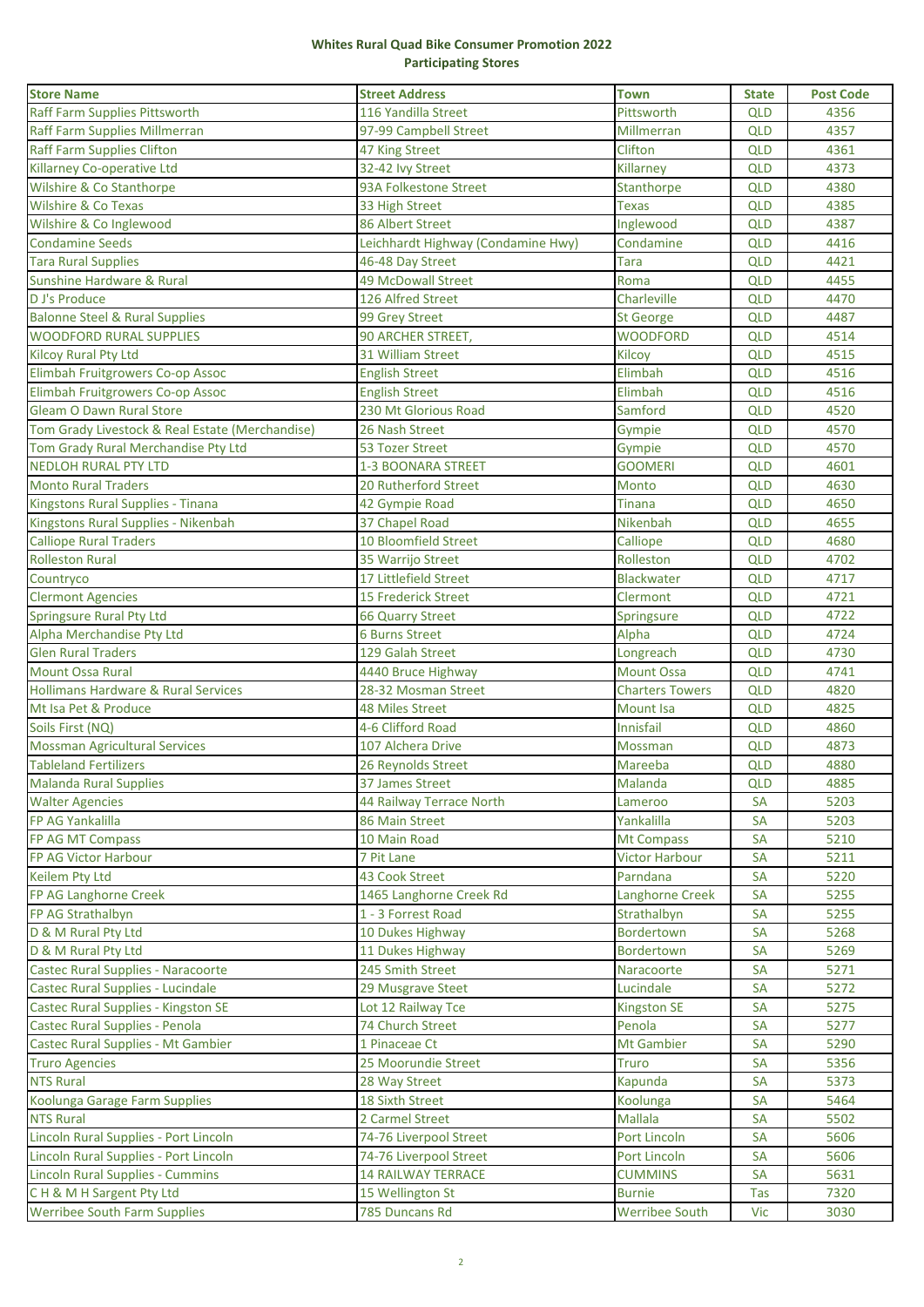## **Whites Rural Quad Bike Consumer Promotion 2022 Participating Stores**

| <b>Store Name</b>                               | <b>Street Address</b>              | <b>Town</b>            | <b>State</b> | <b>Post Code</b> |
|-------------------------------------------------|------------------------------------|------------------------|--------------|------------------|
| Raff Farm Supplies Pittsworth                   | 116 Yandilla Street                | Pittsworth             | <b>QLD</b>   | 4356             |
| Raff Farm Supplies Millmerran                   | 97-99 Campbell Street              | Millmerran             | <b>QLD</b>   | 4357             |
| <b>Raff Farm Supplies Clifton</b>               | 47 King Street                     | Clifton                | <b>QLD</b>   | 4361             |
| Killarney Co-operative Ltd                      | 32-42 Ivy Street                   | Killarney              | <b>QLD</b>   | 4373             |
| Wilshire & Co Stanthorpe                        | 93A Folkestone Street              | Stanthorpe             | <b>QLD</b>   | 4380             |
| Wilshire & Co Texas                             | 33 High Street                     | <b>Texas</b>           | <b>QLD</b>   | 4385             |
| Wilshire & Co Inglewood                         | 86 Albert Street                   | Inglewood              | <b>QLD</b>   | 4387             |
| <b>Condamine Seeds</b>                          | Leichhardt Highway (Condamine Hwy) | Condamine              | <b>QLD</b>   | 4416             |
| <b>Tara Rural Supplies</b>                      | 46-48 Day Street                   | Tara                   | <b>QLD</b>   | 4421             |
| Sunshine Hardware & Rural                       | <b>49 McDowall Street</b>          | Roma                   | <b>QLD</b>   | 4455             |
| D J's Produce                                   | 126 Alfred Street                  | Charleville            | <b>QLD</b>   | 4470             |
| <b>Balonne Steel &amp; Rural Supplies</b>       | 99 Grey Street                     | <b>St George</b>       | <b>QLD</b>   | 4487             |
| <b>WOODFORD RURAL SUPPLIES</b>                  | 90 ARCHER STREET,                  | <b>WOODFORD</b>        | <b>QLD</b>   | 4514             |
| <b>Kilcoy Rural Pty Ltd</b>                     | 31 William Street                  | Kilcoy                 | <b>QLD</b>   | 4515             |
| Elimbah Fruitgrowers Co-op Assoc                | <b>English Street</b>              | Elimbah                | <b>QLD</b>   | 4516             |
| Elimbah Fruitgrowers Co-op Assoc                | <b>English Street</b>              | Elimbah                | <b>QLD</b>   | 4516             |
| <b>Gleam O Dawn Rural Store</b>                 | 230 Mt Glorious Road               | Samford                | <b>QLD</b>   | 4520             |
| Tom Grady Livestock & Real Estate (Merchandise) | 26 Nash Street                     | Gympie                 | <b>QLD</b>   | 4570             |
| Tom Grady Rural Merchandise Pty Ltd             | 53 Tozer Street                    | Gympie                 | <b>QLD</b>   | 4570             |
| <b>NEDLOH RURAL PTY LTD</b>                     | <b>1-3 BOONARA STREET</b>          | <b>GOOMERI</b>         | <b>QLD</b>   | 4601             |
| <b>Monto Rural Traders</b>                      | <b>20 Rutherford Street</b>        | Monto                  | <b>QLD</b>   | 4630             |
| Kingstons Rural Supplies - Tinana               | 42 Gympie Road                     | Tinana                 | <b>QLD</b>   | 4650             |
| Kingstons Rural Supplies - Nikenbah             | 37 Chapel Road                     | Nikenbah               | <b>QLD</b>   | 4655             |
| <b>Calliope Rural Traders</b>                   | 10 Bloomfield Street               | Calliope               | <b>QLD</b>   | 4680             |
| <b>Rolleston Rural</b>                          | 35 Warrijo Street                  | Rolleston              | <b>QLD</b>   | 4702             |
| Countryco                                       | 17 Littlefield Street              | Blackwater             | <b>QLD</b>   | 4717             |
| <b>Clermont Agencies</b>                        | <b>15 Frederick Street</b>         | Clermont               | <b>QLD</b>   | 4721             |
| Springsure Rural Pty Ltd                        | <b>66 Quarry Street</b>            | Springsure             | <b>QLD</b>   | 4722             |
| Alpha Merchandise Pty Ltd                       | <b>6 Burns Street</b>              | Alpha                  | <b>QLD</b>   | 4724             |
| <b>Glen Rural Traders</b>                       | 129 Galah Street                   | Longreach              | <b>QLD</b>   | 4730             |
| <b>Mount Ossa Rural</b>                         | 4440 Bruce Highway                 | <b>Mount Ossa</b>      | <b>QLD</b>   | 4741             |
| <b>Hollimans Hardware &amp; Rural Services</b>  | 28-32 Mosman Street                | <b>Charters Towers</b> | <b>QLD</b>   | 4820             |
| Mt Isa Pet & Produce                            | <b>48 Miles Street</b>             | Mount Isa              | <b>QLD</b>   | 4825             |
| Soils First (NQ)                                | 4-6 Clifford Road                  | Innisfail              | <b>QLD</b>   | 4860             |
| <b>Mossman Agricultural Services</b>            | 107 Alchera Drive                  | Mossman                | <b>QLD</b>   | 4873             |
| <b>Tableland Fertilizers</b>                    | 26 Reynolds Street                 | Mareeba                | <b>QLD</b>   | 4880             |
| Malanda Rural Supplies                          | 37 James Street                    | Malanda                | QLD          | 4885             |
| <b>Walter Agencies</b>                          | 44 Railway Terrace North           | Lameroo                | SA           | 5203             |
| FP AG Yankalilla                                | 86 Main Street                     | Yankalilla             | SA           | 5203             |
| FP AG MT Compass                                | 10 Main Road                       | <b>Mt Compass</b>      | SA           | 5210             |
| FP AG Victor Harbour                            | 7 Pit Lane                         | Victor Harbour         | SA           | 5211             |
| <b>Keilem Pty Ltd</b>                           | <b>43 Cook Street</b>              | Parndana               | <b>SA</b>    | 5220             |
| FP AG Langhorne Creek                           | 1465 Langhorne Creek Rd            | Langhorne Creek        | SА           | 5255             |
| FP AG Strathalbyn                               | 1 - 3 Forrest Road                 | Strathalbyn            | SA           | 5255             |
| D & M Rural Pty Ltd                             | 10 Dukes Highway                   | <b>Bordertown</b>      | SA           | 5268             |
| D & M Rural Pty Ltd                             | 11 Dukes Highway                   | <b>Bordertown</b>      | SA           | 5269             |
| Castec Rural Supplies - Naracoorte              | 245 Smith Street                   | Naracoorte             | SA           | 5271             |
| Castec Rural Supplies - Lucindale               | 29 Musgrave Steet                  | Lucindale              | SA           | 5272             |
| Castec Rural Supplies - Kingston SE             | Lot 12 Railway Tce                 | Kingston SE            | SA           | 5275             |
| Castec Rural Supplies - Penola                  | 74 Church Street                   | Penola                 | SA           | 5277             |
| Castec Rural Supplies - Mt Gambier              | 1 Pinaceae Ct                      | <b>Mt Gambier</b>      | SA           | 5290             |
| <b>Truro Agencies</b>                           | 25 Moorundie Street                | Truro                  | <b>SA</b>    | 5356             |
| <b>NTS Rural</b>                                | 28 Way Street                      | Kapunda                | SA           | 5373             |
| Koolunga Garage Farm Supplies                   | <b>18 Sixth Street</b>             | Koolunga               | <b>SA</b>    | 5464             |
| <b>NTS Rural</b>                                | 2 Carmel Street                    | Mallala                | <b>SA</b>    | 5502             |
| Lincoln Rural Supplies - Port Lincoln           | 74-76 Liverpool Street             | Port Lincoln           | SA           | 5606             |
| Lincoln Rural Supplies - Port Lincoln           | 74-76 Liverpool Street             | Port Lincoln           | SA           | 5606             |
| <b>Lincoln Rural Supplies - Cummins</b>         | <b>14 RAILWAY TERRACE</b>          | <b>CUMMINS</b>         | SA           | 5631             |
| CH & M H Sargent Pty Ltd                        | 15 Wellington St                   | <b>Burnie</b>          | Tas          | 7320             |
| <b>Werribee South Farm Supplies</b>             | 785 Duncans Rd                     | <b>Werribee South</b>  | Vic          | 3030             |